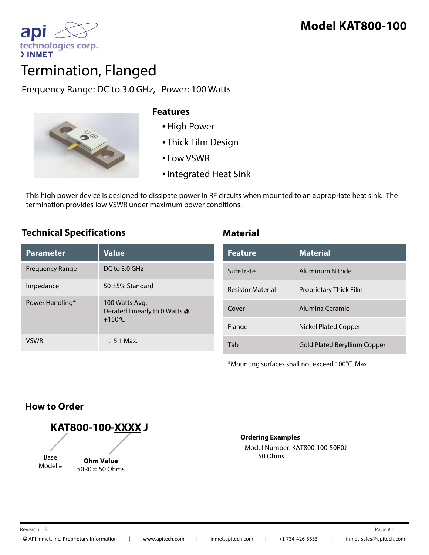

# Termination, Flanged

Frequency Range: DC to 3.0 GHz, Power: 100 Watts



### **Features**

- •High Power
- Thick Film Design
- Low VSWR
- •Integrated Heat Sink

This high power device is designed to dissipate power in RF circuits when mounted to an appropriate heat sink. The termination provides low VSWR under maximum power conditions.

# **Technical Specifications Material**

| <b>Parameter</b> | <b>Value</b>                                                        |
|------------------|---------------------------------------------------------------------|
| Frequency Range  | DC to 3.0 GHz                                                       |
| Impedance        | $50 + 5%$ Standard                                                  |
| Power Handling*  | 100 Watts Avg.<br>Derated Linearly to 0 Watts @<br>$+150^{\circ}$ C |
| VSWR             | $1.15:1$ Max.                                                       |

| <b>Feature</b>           | <b>Material</b>                     |
|--------------------------|-------------------------------------|
| Substrate                | Aluminum Nitride                    |
| <b>Resistor Material</b> | Proprietary Thick Film              |
| Cover                    | Alumina Ceramic                     |
| Flange                   | Nickel Plated Copper                |
| Tab                      | <b>Gold Plated Beryllium Copper</b> |

\*Mounting surfaces shall not exceed 100°C. Max.

# **How to Order**

**KAT800-100-XXXX J** Base Model # **Ohm Value** 50R0 = 50 Ohms

**Ordering Examples**

Model Number: KAT800-100-50R0J 50 Ohms